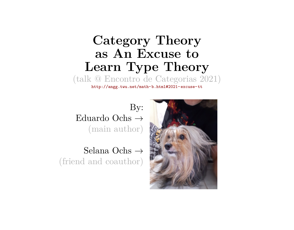# **Category Theory as An Excuse to Learn Type Theory**

(talk @ Encontro de Categorias 2021)

<http://angg.twu.net/math-b.html#2021-excuse-tt>

By: Eduardo Ochs  $\rightarrow$ (main author)

Selana Ochs → (friend and coauthor)

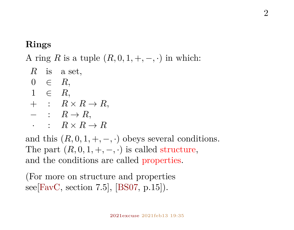## **Rings**

A ring R is a tuple  $(R, 0, 1, +, -, \cdot)$  in which:

 $R$  is a set.  $0 \in R$  $1 \in R$ .  $+$  :  $R \times R \rightarrow R$ .  $-$  :  $R \rightarrow R$ .  $\cdot$  :  $R \times R \rightarrow R$ 

and this  $(R, 0, 1, +, -, \cdot)$  obeys several conditions. The part  $(R, 0, 1, +, -, \cdot)$  is called structure, and the conditions are called properties.

(For more on structure and properties see  $[{\rm FavC, section 7.5}, [BS07, p.15]$  $[{\rm FavC, section 7.5}, [BS07, p.15]$  $[{\rm FavC, section 7.5}, [BS07, p.15]$ .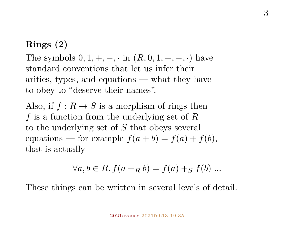## **Rings (2)**

The symbols  $0, 1, +, -, \cdot$  in  $(R, 0, 1, +, -, \cdot)$  have standard conventions that let us infer their arities, types, and equations — what they have to obey to "deserve their names".

Also, if  $f: R \to S$  is a morphism of rings then f is a function from the underlying set of  $R$ to the underlying set of S that obeys several equations — for example  $f(a + b) = f(a) + f(b)$ , that is actually

$$
\forall a, b \in R. f(a +_R b) = f(a) +_S f(b) \dots
$$

These things can be written in several levels of detail.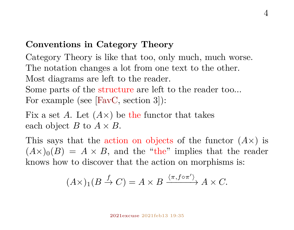## **Conventions in Category Theory**

Category Theory is like that too, only much, much worse. The notation changes a lot from one text to the other. Most diagrams are left to the reader. Some parts of the structure are left to the reader too... For example (see [\[FavC,](#page-49-0) section 3]):

Fix a set A. Let  $(A\times)$  be the functor that takes each object B to  $A \times B$ .

This says that the action on objects of the functor  $(A \times)$  is  $(A\times)_{0}(B) = A \times B$ , and the "the" implies that the reader knows how to discover that the action on morphisms is:

$$
(A \times)_{1}(B \stackrel{f}{\to} C) = A \times B \xrightarrow{\langle \pi, f \circ \pi' \rangle} A \times C.
$$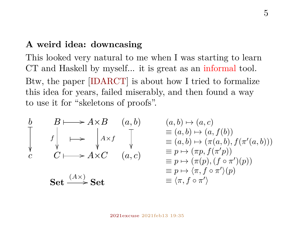#### **A weird idea: downcasing**

This looked very natural to me when I was starting to learn CT and Haskell by myself... it is great as an informal tool. Btw, the paper [\[IDARCT\]](#page-51-0) is about how I tried to formalize this idea for years, failed miserably, and then found a way to use it for "skeletons of proofs".

$$
\begin{array}{ccc}\nb & B \longmapsto A \times B & (a, b) & (a, b) \mapsto (a, c) \\
\downarrow & \downarrow & \downarrow & \downarrow & \downarrow & \downarrow & \downarrow \\
c & C \longmapsto A \times C & (a, c) & \equiv p \mapsto (\pi p, f(\pi/p)) \\
\downarrow & \downarrow & \downarrow & \downarrow & \downarrow & \downarrow \\
c & \downarrow & \downarrow & \downarrow & \downarrow & \downarrow \\
\downarrow & \downarrow & \downarrow & \downarrow & \downarrow & \downarrow & \downarrow \\
c & \downarrow & \downarrow & \downarrow & \downarrow & \downarrow & \downarrow \\
c & \downarrow & \downarrow & \downarrow & \downarrow & \downarrow & \downarrow \\
c & \downarrow & \downarrow & \downarrow & \downarrow & \downarrow & \downarrow \\
c & \downarrow & \downarrow & \downarrow & \downarrow & \downarrow & \downarrow \\
c & \downarrow & \downarrow & \downarrow & \downarrow & \downarrow & \downarrow & \downarrow \\
c & \downarrow & \downarrow & \downarrow & \downarrow & \downarrow & \downarrow & \downarrow \\
c & \downarrow & \downarrow & \downarrow & \downarrow & \downarrow & \downarrow & \downarrow \\
c & \downarrow & \downarrow & \downarrow & \downarrow & \downarrow & \downarrow & \downarrow \\
c & \downarrow & \downarrow & \downarrow & \downarrow & \downarrow & \downarrow & \downarrow \\
c & \downarrow & \downarrow & \downarrow & \downarrow & \downarrow & \downarrow & \downarrow \\
c & \downarrow & \downarrow & \downarrow & \downarrow & \downarrow & \downarrow & \downarrow \\
c & \downarrow & \downarrow & \downarrow & \downarrow & \downarrow & \downarrow & \downarrow \\
c & \downarrow & \downarrow & \downarrow & \downarrow & \downarrow & \downarrow & \downarrow \\
c & \downarrow & \downarrow & \downarrow & \downarrow & \downarrow & \downarrow & \downarrow & \downarrow \\
c & \downarrow & \downarrow & \downarrow & \downarrow & \downarrow & \downarrow & \downarrow & \downarrow \\
c & \downarrow & \downarrow & \downarrow & \downarrow & \downarrow & \downarrow & \downarrow & \downarrow \\
c & \downarrow & \downarrow & \downarrow & \downarrow & \downarrow & \downarrow & \downarrow & \downarrow \\
c & \downarrow & \downarrow & \downarrow & \downarrow & \downarrow & \downarrow & \downarrow & \downarrow \\
c & \downarrow & \downarrow & \downarrow & \downarrow & \downarrow & \downarrow & \downarrow & \downarrow \\
c & \downarrow & \
$$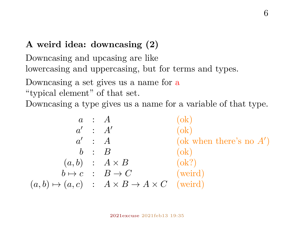## **A weird idea: downcasing (2)**

Downcasing and upcasing are like lowercasing and uppercasing, but for terms and types.

Downcasing a set gives us a name for a

"typical element" of that set.

Downcasing a type gives us a name for a variable of that type.

$$
\begin{array}{cccc}\n & a & : & A & (ok) \\
a' & : & A' & (ok) \\
a' & : & A & (ok) \\
b & : & B & (ok) \\
(a, b) & : & A \times B & (ok?) \\
b \mapsto c & : & B \rightarrow C & (weird) \\
(a, b) \mapsto (a, c) & : & A \times B \rightarrow A \times C & (weird)\n\end{array}
$$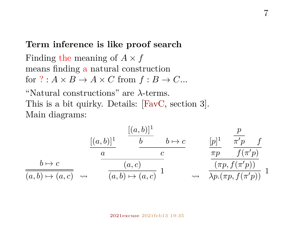#### **Term inference is like proof search**

Finding the meaning of  $A \times f$ means finding a natural construction for  $? : A \times B \rightarrow A \times C$  from  $f : B \rightarrow C$ ...

"Natural constructions" are λ-terms. This is a bit quirky. Details: [\[FavC,](#page-49-0) section 3]. Main diagrams:

$$
\frac{[(a,b)]^1}{\frac{a}{(a,b)\mapsto c}} \xrightarrow{\frac{[(a,b)]^1}{\frac{b}{(a,c)}} \frac{b\mapsto c}{\frac{c}{(a,b)\mapsto (a,c)}}} \xrightarrow{\frac{[p]^1}{\frac{\pi p}{(p)}} \frac{\frac{p}{\pi(p)} f}{f(\pi(p))}} \frac{b\mapsto c}{\frac{(a,b)\mapsto (a,c)}{(a,b)\mapsto (a,c)}} 1 \qquad \longrightarrow \frac{\frac{p}{\pi p} \cdot \frac{f}{f(\pi(p))}}{\frac{f}{(p)} \cdot \frac{f}{(p)} \cdot \frac{f}{(p)} \cdot \frac{f}{(p)} \cdot \frac{f}{(p)}} 1
$$

#### [2021excuse](http://angg.twu.net/math-b.html#2021-excuse-tt) 2021feb13 19:35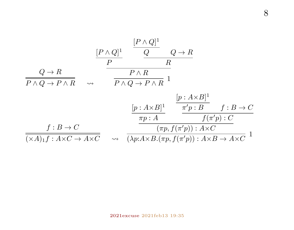$$
\frac{[P \land Q]^1}{P} \xrightarrow{\qquad \qquad} \frac{[P \land Q]^1}{P} \qquad Q \to R
$$
\n
$$
\frac{Q \to R}{P \land Q \to P \land R} \qquad \leadsto \qquad \frac{P \land R}{P \land Q \to P \land R} \quad 1
$$
\n
$$
\frac{[p: A \times B]^1}{\pi [p: B]} \xrightarrow{\qquad \qquad} \frac{[p: A \times B]^1}{\pi [p: B]} \qquad f: B \to C
$$
\n
$$
\frac{f: B \to C}{(\times A)_1 f: A \times C \to A \times C} \qquad \leadsto \qquad \frac{(\pi p, f(\pi' p)): A \times C}{(\lambda p: A \times B. (\pi p, f(\pi' p)): A \times B \to A \times C} \quad 1
$$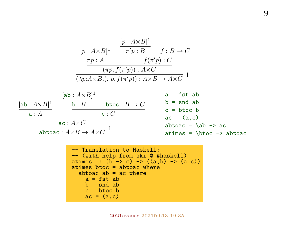$$
\frac{[p: A\times B]^1}{\pi p: A} \xrightarrow{\pi' p: B} f: B \to C
$$
\n
$$
\frac{\pi p: A}{\pi p: A} \xrightarrow{f(\pi' p): C} f(\pi' p): C
$$
\n
$$
\frac{\pi p: A \times C}{\pi p, f(\pi' p): A \times C} 1
$$
\n
$$
\frac{[ab: A \times B]^1}{[ab: B \text{ btoc}: B \to C} \xrightarrow{a = \text{fst ab}}
$$
\n
$$
\frac{[ab: A \times B]^1}{[ab: B \text{ btoc}: B \to C} \xrightarrow{b = \text{snd ab}}
$$
\n
$$
\frac{a: A \times C}{[ab: C \text{ atoc} = (a, c)]}
$$
\n
$$
\frac{a: A \times C}{[ab: A \times B \to A \times C]} 1
$$
\n
$$
\frac{a: A \times C}{[ab: A \times B \to A \times C]} 1
$$
\n
$$
\frac{a \times (A \times B \to A \times C)}{[ab: C \to ab \text{ toa} = (a, c)]}
$$

 -- Translation to Haskell: -- (with help from ski @ #haskell) atimes :: (b -> c) -> ((a,b) -> (a,c)) atimes btoc = abtoac where abtoac ab = ac where a = fst ab b = snd ab c = btoc b ac = (a,c)

[2021excuse](http://angg.twu.net/math-b.html#2021-excuse-tt) 2021feb13 19:35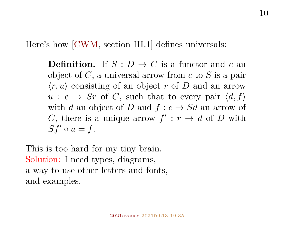Here's how [\[CWM,](#page-49-2) section III.1] defines universals:

**Definition.** If  $S: D \to C$  is a functor and c an object of  $C$ , a universal arrow from  $c$  to  $S$  is a pair  $\langle r, u \rangle$  consisting of an object r of D and an arrow  $u : c \to Sr$  of C, such that to every pair  $\langle d, f \rangle$ with d an object of D and  $f: c \rightarrow Sd$  an arrow of C, there is a unique arrow  $f': r \to d$  of D with  $Sf' \circ u = f$ .

This is too hard for my tiny brain. Solution: I need types, diagrams, a way to use other letters and fonts, and examples.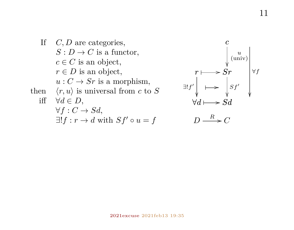

$$
\begin{array}{c}\n c \\
 \downarrow \text{univ} \\
 r \longmapsto \text{S}r \\
 \exists ! f' \downarrow \longmapsto \text{S}d \\
 \forall d \longmapsto \text{S}d\n \end{array}
$$

$$
D \xrightarrow{R} C
$$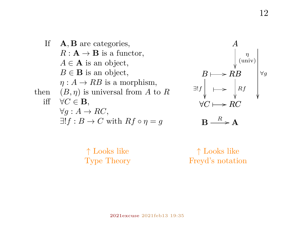



$$
\mathbf{B}\longrightarrow^R\mathbf{A}
$$

↑ Looks like Type Theory

↑ Looks like Freyd's notation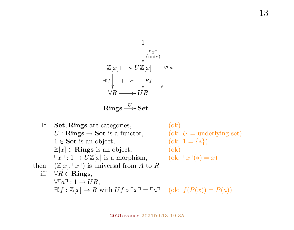$$
\begin{array}{c}\n1 \\
\downarrow \text{ (univ)} \\
\mathbb{Z}[x] \longmapsto U\mathbb{Z}[x] \\
\exists! f \downarrow \longmapsto \downarrow \text{ Rf} \\
\forall R \longmapsto UR\n\end{array}
$$

Rings  $\stackrel{U}{\longrightarrow}$  Set

If Set, Rings are categories, (ok)  $U: \mathbf{Rings} \to \mathbf{Set}$  is a functor, (ok:  $U =$  underlying set)<br>  $1 \in \mathbf{Set}$  is an object, (ok:  $1 = \{ * \}$ )  $(\text{ok: } 1 = \{*\})$  $\mathbb{Z}[x] \in \mathbf{Rings}$  is an object, (ok)  $\lceil x \rceil : 1 \to U \mathbb{Z}[x]$  is a morphism,  $(\text{ok: } \lceil x \rceil (*) = x)$ then  $(\mathbb{Z}[x], \ulcorner x \urcorner)$  is universal from A to R iff  $\forall R \in \mathbf{R}$ ings,  $\forall\ulcorner a\urcorner: 1 \to UR.$  $\exists! f : \mathbb{Z}[x] \to R$  with  $Uf \circ \ulcorner x \urcorner = \ulcorner a \urcorner$  (ok:  $f(P(x)) = P(a)$ )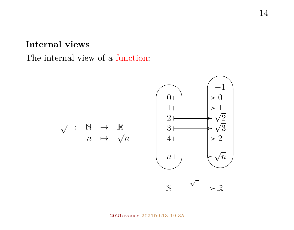## **Internal views**

## The internal view of a function:

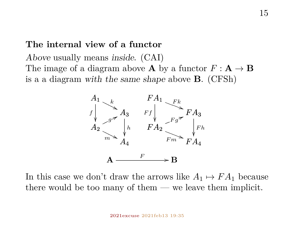#### **The internal view of a functor**

Above usually means inside. (CAI) The image of a diagram above **A** by a functor  $F : \mathbf{A} \to \mathbf{B}$ is a a diagram with the same shape above B. (CFSh)



In this case we don't draw the arrows like  $A_1 \mapsto FA_1$  because there would be too many of them — we leave them implicit.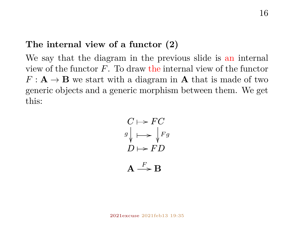### **The internal view of a functor (2)**

We say that the diagram in the previous slide is an internal view of the functor  $F$ . To draw the internal view of the functor  $F: \mathbf{A} \to \mathbf{B}$  we start with a diagram in **A** that is made of two generic objects and a generic morphism between them. We get this:

$$
C \mapsto FC
$$
  
\n
$$
g \downarrow \mapsto \downarrow Fg
$$
  
\n
$$
D \mapsto FD
$$
  
\n
$$
A \xrightarrow{F} B
$$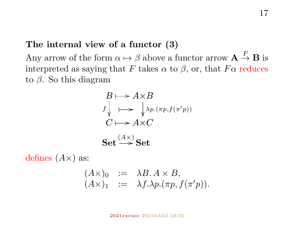## **The internal view of a functor (3)**

Any arrow of the form  $\alpha \mapsto \beta$  above a functor arrow  $\mathbf{A} \stackrel{F}{\to} \mathbf{B}$  is interpreted as saying that F takes  $\alpha$  to  $\beta$ , or, that  $F\alpha$  reduces to  $β$ . So this diagram

$$
B \longmapsto A \times B
$$
  
\n $f \downarrow \longmapsto \downarrow \lambda p.(\pi p, f(\pi' p))$   
\n $C \longmapsto A \times C$   
\nSet  $\stackrel{(A \times )}{\longrightarrow} Set$ 

defines  $(A \times)$  as:

$$
(A\times)0 := \lambda B. A \times B,(A\times)1 := \lambda f.\lambda p.( \pi p, f( \pi' p)).
$$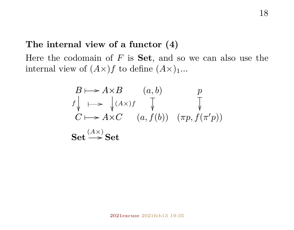## **The internal view of a functor (4)**

Here the codomain of  $F$  is **Set**, and so we can also use the internal view of  $(A\times)f$  to define  $(A\times)_{1}...$ 

$$
B \longmapsto A \times B \qquad (a, b)
$$
  
\n
$$
f \downarrow \longmapsto \downarrow (A \times) f \qquad \downarrow \qquad \downarrow
$$
  
\n
$$
C \longmapsto A \times C \qquad (a, f(b)) \qquad (\pi p, f(\pi' p))
$$
  
\nSet  $\xrightarrow{(A \times)} \text{Set}$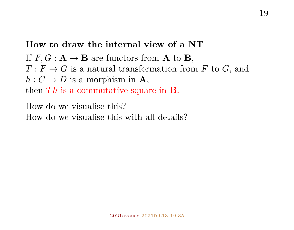## **How to draw the internal view of a NT**

If  $F, G : \mathbf{A} \to \mathbf{B}$  are functors from **A** to **B**,  $T: F \to G$  is a natural transformation from F to G, and  $h: C \to D$  is a morphism in **A**, then  $Th$  is a commutative square in **B**.

How do we visualise this?

How do we visualise this with all details?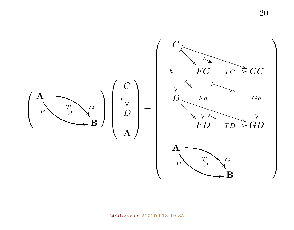20

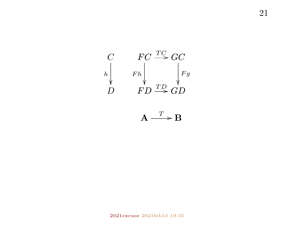$$
\begin{array}{ccc}\nC & FC \xrightarrow{TC} GC \\
h & Fh & Fg \\
D & FD \xrightarrow{TD} GD\n\end{array}
$$

$$
\mathbf{A} \xrightarrow{T} \mathbf{B}
$$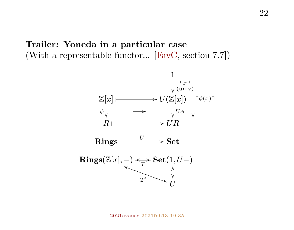## **Trailer: Yoneda in a particular case** (With a representable functor... [\[FavC,](#page-49-0) section 7.7])

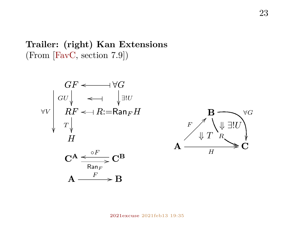## **Trailer: (right) Kan Extensions** (From [\[FavC,](#page-49-0) section 7.9])





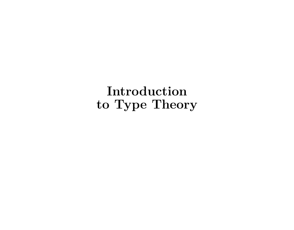**Introduction to Type Theory**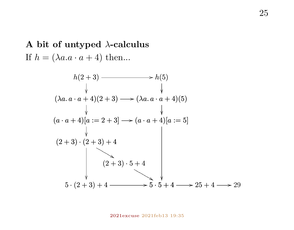## **A bit of untyped** λ**-calculus** If  $h = (\lambda a \cdot a + 4)$  then...

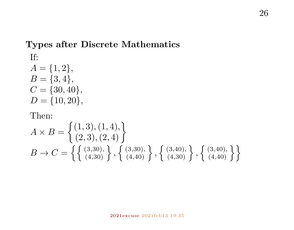## **Types after Discrete Mathematics**

If:

 $A = \{1, 2\},\$  $B = \{3, 4\},\,$  $C = \{30, 40\},\,$  $D = \{10, 20\},\,$ 

#### Then:

$$
A \times B = \begin{Bmatrix} (1,3), (1,4), \\ (2,3), (2,4) \end{Bmatrix}
$$
  
\n
$$
B \to C = \left\{ \begin{Bmatrix} (3,30), \\ (4,30) \end{Bmatrix}, \begin{Bmatrix} (3,30), \\ (4,40) \end{Bmatrix}, \begin{Bmatrix} (3,40), \\ (4,30) \end{Bmatrix}, \begin{Bmatrix} (3,40), \\ (4,40) \end{Bmatrix} \right\}
$$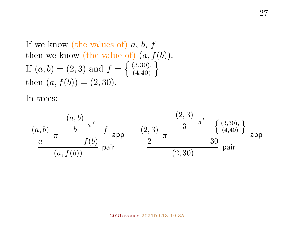If we know (the values of)  $a, b, f$ then we know (the value of)  $(a, f(b))$ . If  $(a, b) = (2, 3)$  and  $f = \{ (3, 30), (4, 40) \}$ then  $(a, f(b)) = (2, 30)$ .

In trees:

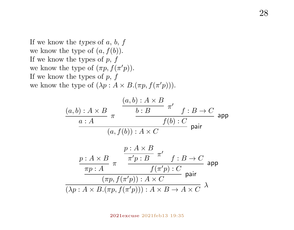If we know the types of  $a, b, f$ we know the type of  $(a, f(b))$ . If we know the types of  $p, f$ we know the type of  $(\pi p, f(\pi' p))$ . If we know the types of  $p, f$ we know the type of  $(\lambda p : A \times B.(\pi p, f(\pi' p)))$ .

$$
\frac{(a,b): A \times B}{a:A} \pi \xrightarrow{\begin{array}{c} (a,b): A \times B \\ b:B \end{array}} \frac{\pi'}{f:B \to C} \text{ app} \n\frac{a:A}{(a,f(b)): A \times C} \text{ pair} \n\frac{p:A \times B}{\pi p:A} \pi \xrightarrow{\begin{array}{c} p:A \times B \\ \pi'p:B \end{array}} \frac{r}{f:B \to C} \text{ app} \n\frac{mp:A \times B}{(\pi p,f(\pi'p)): A \times C} \text{ pap} \n\frac{(\pi p,f(\pi'p)): A \times C}{(\lambda p:A \times B.(\pi p,f(\pi'p))): A \times B \to A \times C} \lambda
$$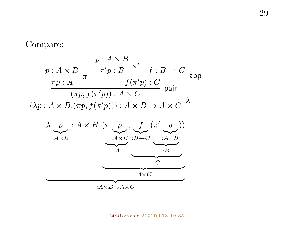#### Compare:





[2021excuse](http://angg.twu.net/math-b.html#2021-excuse-tt) 2021feb13 19:35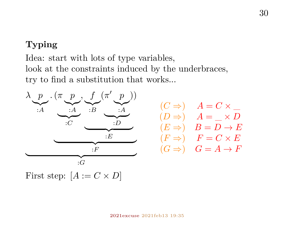## **Typing**

Idea: start with lots of type variables, look at the constraints induced by the underbraces, try to find a substitution that works...



$$
\begin{array}{ll} (C \Rightarrow) & A = C \times \\ (D \Rightarrow) & A = \_ \times D \\ (E \Rightarrow) & B = D \to E \\ (F \Rightarrow) & F = C \times E \\ (G \Rightarrow) & G = A \to F \end{array}
$$

First step:  $[A := C \times D]$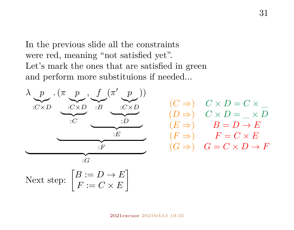In the previous slide all the constraints were red, meaning "not satisfied yet". Let's mark the ones that are satisfied in green and perform more substituions if needed...



$$
\begin{array}{ccc} (C \Rightarrow) & C \times D = C \times \\ (D \Rightarrow) & C \times D = \_ \times D \\ (E \Rightarrow) & B = D \to E \\ (F \Rightarrow) & F = C \times E \\ (G \Rightarrow) & G = C \times D \to F \end{array}
$$

 $F := C \times E$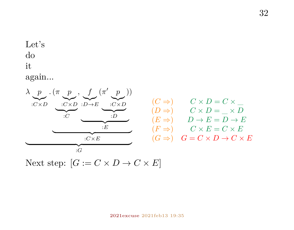## Let's do it

again...



Next step:  $[G := C \times D \to C \times E]$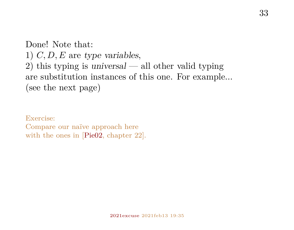Done! Note that: 1)  $C, D, E$  are type variables, 2) this typing is universal — all other valid typing are substitution instances of this one. For example... (see the next page)

Exercise: Compare our naïve approach here with the ones in [\[Pie02,](#page-51-1) chapter 22].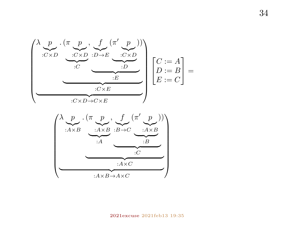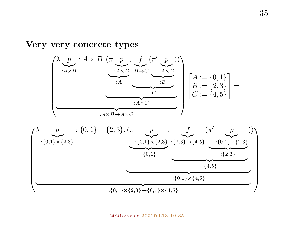#### **Very very concrete types**



#### [2021excuse](http://angg.twu.net/math-b.html#2021-excuse-tt) 2021feb13 19:35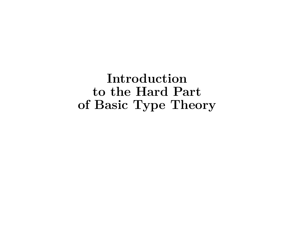**Introduction to the Hard Part of Basic Type Theory**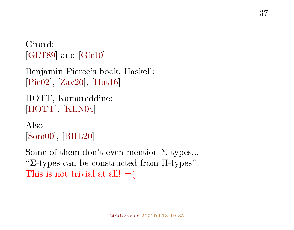Girard: [\[GLT89\]](#page-50-0) and [\[Gir10\]](#page-50-1)

```
Benjamin Pierce's book, Haskell:
[Pie02], [Zav20], [Hut16]
```

```
HOTT, Kamareddine:
[HOTT], [KLN04]
```
Also: [\[Som00\]](#page-52-1), [\[BHL20\]](#page-49-3)

Some of them don't even mention Σ-types... "Σ-types can be constructed from Π-types" This is not trivial at all!  $=$  (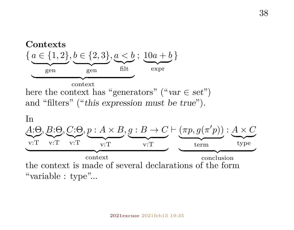

[2021excuse](http://angg.twu.net/math-b.html#2021-excuse-tt) 2021feb13 19:35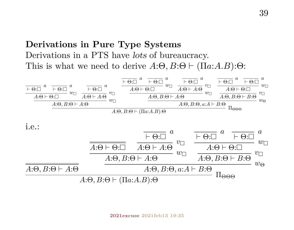## **Derivations in Pure Type Systems** Derivations in a PTS have lots of bureaucracy. This is what we need to derive  $A:\Theta, B:\Theta \vdash (\Pi a:A.B):\Theta:$

$$
\frac{\overline{+ \Theta:\Box}^{a}}{A:\Theta \vdash \Theta:\Box} \stackrel{a}{w\Box} \stackrel{+ \overline{\Theta:\Box}^{a}}{A:\Theta \vdash A:\Theta} \stackrel{+ \overline{\Theta:\Box}^{a}}{w\Box} \stackrel{a}{\longrightarrow} \frac{\overline{+ \Theta:\Box}^{a}}{A:\Theta \vdash \Theta:\Box} \stackrel{a}{w\Box} \stackrel{+ \overline{\Theta:\Box}^{a}}{A:\Theta \vdash A:\Theta} \stackrel{a}{w\Box} \stackrel{+ \overline{\Theta:\Box}^{a}}{A:\Theta,\overline{B:\Theta \vdash A:\Theta}} \stackrel{a}{w\Box} \stackrel{+ \overline{\Theta:\Box}^{a}}{A:\Theta,\overline{B:\Theta \vdash B:\Theta} \stackrel{a}{w\Box} \stackrel{+ \overline{\Theta:\Box}^{a}}{A:\Theta,\overline{B:\Theta \vdash B:\Theta}} \stackrel{a}{w\Box} \stackrel{+ \overline{\Theta:\Box}^{a}}{A:\Theta,\overline{B:\Theta \vdash B:\Theta} \stackrel{a}{w\Box} \stackrel{+ \overline{\Theta:\Box}^{a}}{A:\Theta,\overline{B:\Theta \vdash B:\Theta} \stackrel{+ \overline{\Theta:\Box}^{a}}{A:\Theta,\overline{B:\Theta \vdash B:\Theta} \stackrel{+ \overline{\Theta:\Box}^{a}}{A:\Theta,\overline{B:\Theta \vdash B:\Theta} \stackrel{+ \overline{\Theta:\Box}^{a}}{A:\Theta,\overline{B:\Theta \vdash B:\Theta} \stackrel{+ \overline{\Theta:\Box}^{a}}{A:\Theta:\Theta:\overline{B:\Theta \vdash B:\Theta} \stackrel{+ \overline{\Theta:\Box}^{a}}{A:\Theta:\Theta:\overline{B:\Theta \vdash B:\Theta} \stackrel{+ \overline{\Theta:\Box}^{a}}{A:\Theta:\overline{B:\Theta \vdash B:\Theta} \stackrel{+ \overline{\Theta:\Box}^{a}}{A:\Theta:\overline{B:\Theta \vdash B:\Theta} \stackrel{+ \overline{\Theta:\Box}^{a}}{A:\Theta:\overline{B:\Theta \vdash B:\Theta} \stackrel{+ \overline{\Theta:\Box}^{a}}{A:\Theta:\overline{B:\Theta \vdash B:\Theta} \stackrel{+ \overline{\Theta:\Box}^{a}}{A:\Theta:\overline{B:\Theta \vdash B:\Theta} \stackrel{+ \overline{\Theta:\Box}^{a}}{A:\Theta:\overline{B:\Theta \vdash B:\Theta} \stackrel{
$$

i.e.:

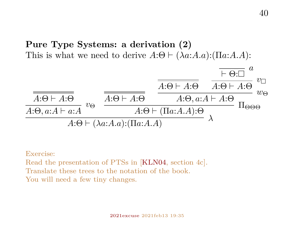**Pure Type Systems: a derivation (2)** This is what we need to derive  $A:\Theta \vdash (\lambda a:A.a):(\Pi a:A.A):$ 



Exercise:

Read the presentation of PTSs in [\[KLN04,](#page-51-3) section 4c]. Translate these trees to the notation of the book. You will need a few tiny changes.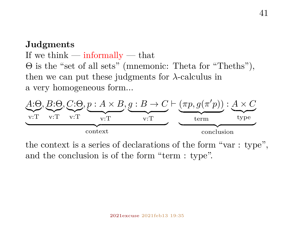### **Judgments**

If we think  $-$  informally  $-$  that Θ is the "set of all sets" (mnemonic: Theta for "Theths"), then we can put these judgments for  $\lambda$ -calculus in a very homogeneous form...



the context is a series of declarations of the form "var : type", and the conclusion is of the form "term : type".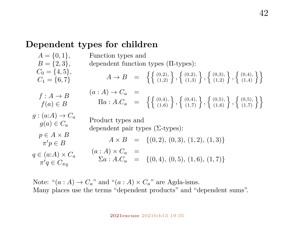#### **Dependent types for children**

 $A = \{0, 1\}$  $B = \{2, 3\}$  $C_0 = \{4, 5\},\,$  $C_1 = \{6, 7\}$  $f : A \rightarrow B$  $f(a) \in B$  $g : (a:A) \rightarrow C_a$  $g(a) \in C_a$  $p \in A \times B$  $\pi' p \in B$  $q \in (q: A) \times C_q$  $\pi'q \in C_{\pi q}$ Function types and dependent function types (Π-types):  $A \rightarrow B = \left\{ \left\{ \begin{array}{l} (0,2), \\ (1,2) \end{array} \right\}, \left\{ \begin{array}{l} (0,2), \\ (1,3) \end{array} \right\}, \left\{ \begin{array}{l} (0,3), \\ (1,2) \end{array} \right\}, \left\{ \begin{array}{l} (0,4), \\ (1,4) \end{array} \right\} \right\}$  $(a : A) \rightarrow C_a$  =  $\Pi a: A.C_a = \left\{ \left\{ \begin{array}{l} (0,4), \\ (1,6) \end{array} \right\}, \left\{ \begin{array}{l} (0,4), \\ (1,7) \end{array} \right\}, \left\{ \begin{array}{l} (0,5), \\ (1,6) \end{array} \right\}, \left\{ \begin{array}{l} (0,5), \\ (1,7) \end{array} \right\} \right\}$ Product types and dependent pair types (Σ-types):  $A \times B = \{(0, 2), (0, 3), (1, 2), (1, 3)\}\$  $(a : A) \times C_{a} =$  $\Sigma a : A.C_a = \{(0, 4), (0, 5), (1, 6), (1, 7)\}\$ 

Note: " $(a : A) \rightarrow C_a$ " and " $(a : A) \times C_a$ " are Agda-isms. Many places use the terms "dependent products" and "dependent sums".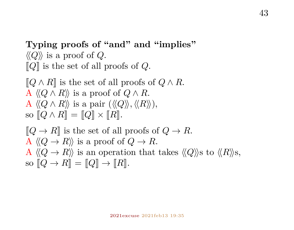**Typing proofs of "and" and "implies"**  $\langle\langle Q \rangle\rangle$  is a proof of Q.  $\llbracket Q \rrbracket$  is the set of all proofs of Q.

 $\llbracket Q \wedge R \rrbracket$  is the set of all proofs of  $Q \wedge R$ . A  $\langle\langle Q \wedge R \rangle\rangle$  is a proof of  $Q \wedge R$ . A  $\langle\langle Q \wedge R \rangle\rangle$  is a pair  $(\langle\langle Q \rangle\rangle, \langle\langle R \rangle\rangle)$ , so  $\llbracket Q \wedge R \rrbracket = \llbracket Q \rrbracket \times \llbracket R \rrbracket.$ 

$$
[Q \to R]
$$
 is the set of all proofs of  $Q \to R$ .  
A  $\langle Q \to R \rangle$  is a proof of  $Q \to R$ .  
A  $\langle Q \to R \rangle$  is an operation that takes  $\langle Q \rangle$ s to  $\langle R \rangle$ s,  
so  $[Q \to R] = [Q] \to [R]$ .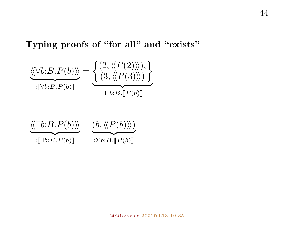## **Typing proofs of "for all" and "exists"**

$$
\underbrace{\langle\langle \forall b:B.P(b)\rangle\rangle}_{:\llbracket \forall b:B.P(b)\rrbracket} = \underbrace{\left\{\begin{matrix} (2, \langle\langle P(2)\rangle\rangle), \\ (3, \langle\langle P(3)\rangle\rangle) \end{matrix} \right\}}_{:\Pi b:B.\llbracket P(b)\rrbracket}
$$

$$
\underbrace{\langle \langle \exists b:B.P(b) \rangle \rangle}_{: [\exists b:B.P(b)]} = \underbrace{(b, \langle \langle P(b) \rangle \rangle)}_{: \Sigma b:B.[P(b)]}
$$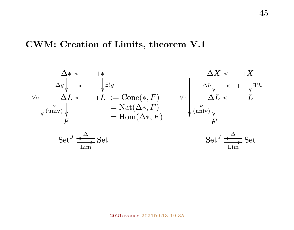#### **CWM: Creation of Limits, theorem V.1**



45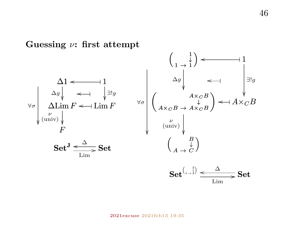**Guessing** ν**: first attempt**

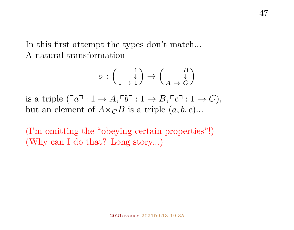In this first attempt the types don't match... A natural transformation

$$
\sigma:\left(\begin{smallmatrix}1\\1\end{smallmatrix}\right)\to\left(\begin{smallmatrix}B\\ \downarrow\\ A\end{smallmatrix}\right)
$$

is a triple  $(\lceil a \rceil : 1 \to A, \lceil b \rceil : 1 \to B, \lceil c \rceil : 1 \to C)$ , but an element of  $A \times_{\mathbb{C}} B$  is a triple  $(a, b, c)$ ...

(I'm omitting the "obeying certain properties"!) (Why can I do that? Long story...)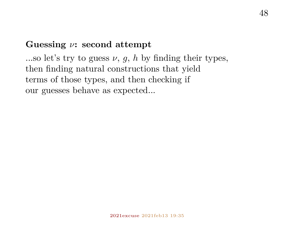## **Guessing** ν**: second attempt**

...so let's try to guess  $\nu$ ,  $q$ ,  $h$  by finding their types, then finding natural constructions that yield terms of those types, and then checking if our guesses behave as expected...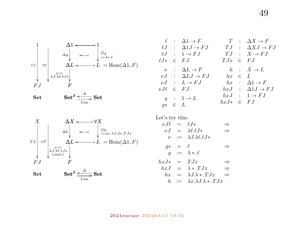





|  | $\ell : \Delta 1 \rightarrow F$<br>$\ell J$ : $\Delta 1 J \rightarrow FJ$<br>$\ell J : 1 \rightarrow FJ$ $TJ : X \rightarrow FJ$<br>$\ell J* \in FJ$               |            | $T : \Delta X \rightarrow F$<br>$T.J \quad : \quad \Delta X.J \rightarrow F.J$<br>$TJx \in FJ$                                            |
|--|--------------------------------------------------------------------------------------------------------------------------------------------------------------------|------------|-------------------------------------------------------------------------------------------------------------------------------------------|
|  | $\nu : \Delta L \rightarrow F$<br>$\nu J$ : $\Delta L J \rightarrow FJ$<br>$\nu J : L \rightarrow FJ$<br>$\nu J\ell \in FJ$<br>$q : 1 \rightarrow L$<br>$q* \in L$ | $hx \in L$ | $h : X \rightarrow L$<br>$hx : \Delta 1 \rightarrow F$<br>$hxJ$ : $\Delta 1J \rightarrow FJ$<br>$hxJ : 1 \rightarrow FJ$<br>$hxJ* \in FJ$ |

Let's try this:

| $\nu J\ell = \ell J*$ |            |                                             | $\Rightarrow$ |
|-----------------------|------------|---------------------------------------------|---------------|
|                       |            | $\nu J = \lambda \ell \ell J*$              | $\Rightarrow$ |
|                       |            | $\nu := \lambda J \lambda \ell \ell J *$    |               |
| $q*$                  | $=$ $\ell$ |                                             | ⇒             |
|                       |            | $q := \lambda * \ell$                       |               |
| $hxJ* = TJx$          |            |                                             | $\Rightarrow$ |
|                       |            | $hxJ = \lambda * TJx$                       | $\Rightarrow$ |
| $h_{x}$               |            | $= \lambda J. \lambda * .T Jx$              | $\Rightarrow$ |
| h.                    |            | $:= \lambda x. \lambda J. \lambda * .T. Jx$ |               |
|                       |            |                                             |               |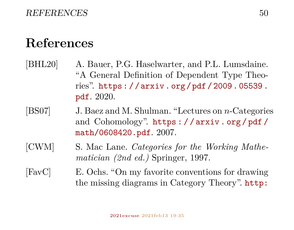# **References**

- <span id="page-49-3"></span>[BHL20] A. Bauer, P.G. Haselwarter, and P.L. Lumsdaine. "A General Definition of Dependent Type Theories". [https : / / arxiv . org / pdf / 2009 . 05539 .](https://arxiv.org/pdf/2009.05539.pdf) [pdf](https://arxiv.org/pdf/2009.05539.pdf). 2020.
- <span id="page-49-1"></span>[BS07] J. Baez and M. Shulman. "Lectures on n-Categories and Cohomology". [https : / / arxiv . org / pdf /](https://arxiv.org/pdf/math/0608420.pdf) [math/0608420.pdf](https://arxiv.org/pdf/math/0608420.pdf). 2007.
- <span id="page-49-2"></span>[CWM] S. Mac Lane. *Categories for the Working Mathematician (2nd ed.)* Springer, 1997.

<span id="page-49-0"></span>[FavC] E. Ochs. "On my favorite conventions for drawing the missing diagrams in Category Theory". [http:](http://angg.twu.net/math-b.html#favorite-conventions)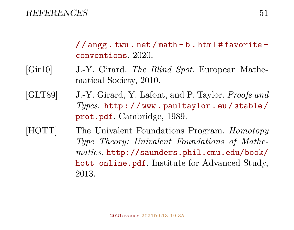#### [REFERENCES](http://angg.twu.net/math-b.html#favorite-conventions) 51

 $//$  angg.twu.net/math-b.html#favorite[conventions](http://angg.twu.net/math-b.html#favorite-conventions). 2020.

- <span id="page-50-1"></span>[Gir10] J.-Y. Girard. *The Blind Spot*. European Mathematical Society, 2010.
- <span id="page-50-0"></span>[GLT89] J.-Y. Girard, Y. Lafont, and P. Taylor. *Proofs and Types*. [http : / / www . paultaylor . eu / stable /](http://www.paultaylor.eu/stable/prot.pdf) [prot.pdf](http://www.paultaylor.eu/stable/prot.pdf). Cambridge, 1989.
- <span id="page-50-2"></span>[HOTT] The Univalent Foundations Program. *Homotopy Type Theory: Univalent Foundations of Mathematics*. [http://saunders.phil.cmu.edu/book/](http://saunders.phil.cmu.edu/book/hott-online.pdf) [hott-online.pdf](http://saunders.phil.cmu.edu/book/hott-online.pdf). Institute for Advanced Study, 2013.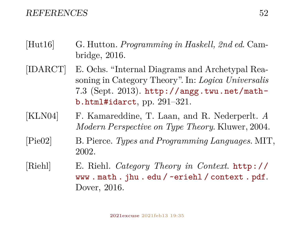#### REFERENCES 52

- <span id="page-51-2"></span>[Hut16] G. Hutton. *Programming in Haskell, 2nd ed*. Cambridge, 2016.
- <span id="page-51-0"></span>[IDARCT] E. Ochs. "Internal Diagrams and Archetypal Reasoning in Category Theory". In: *Logica Universalis* 7.3 (Sept. 2013). [http://angg.twu.net/math](http://angg.twu.net/math-b.html#idarct)[b.html#idarct](http://angg.twu.net/math-b.html#idarct), pp. 291–321.
- <span id="page-51-3"></span>[KLN04] F. Kamareddine, T. Laan, and R. Nederperlt. *A Modern Perspective on Type Theory*. Kluwer, 2004.
- <span id="page-51-1"></span>[Pie02] B. Pierce. *Types and Programming Languages*. MIT, 2002.
- [Riehl] E. Riehl. *Category Theory in Context*. [http://](http://www.math.jhu.edu/~eriehl/context.pdf) [www . math . jhu . edu / ~eriehl / context . pdf](http://www.math.jhu.edu/~eriehl/context.pdf). Dover, 2016.